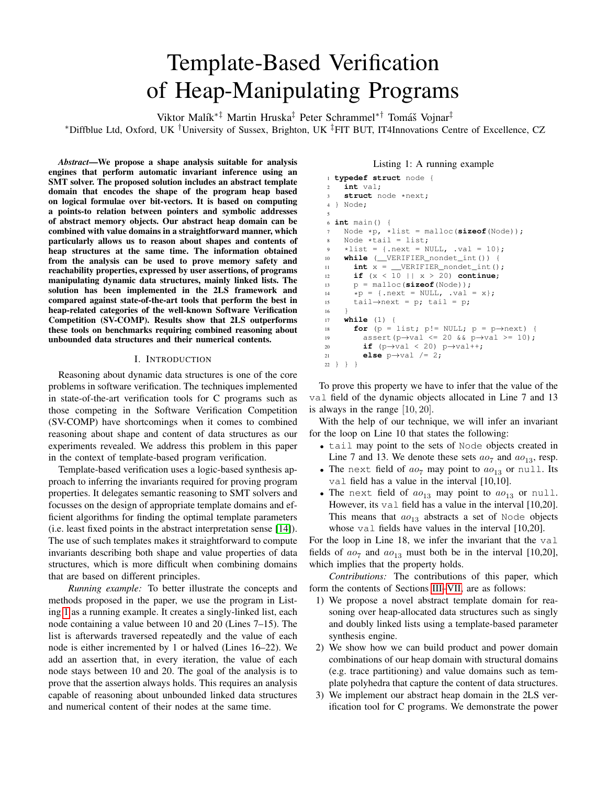# Template-Based Verification of Heap-Manipulating Programs

Viktor Malík<sup>∗‡</sup> Martin Hruska<sup>‡</sup> Peter Schrammel<sup>∗†</sup> Tomáš Vojnar<sup>‡</sup>

<sup>∗</sup>Diffblue Ltd, Oxford, UK †University of Sussex, Brighton, UK ‡FIT BUT, IT4Innovations Centre of Excellence, CZ

*Abstract*—We propose a shape analysis suitable for analysis engines that perform automatic invariant inference using an SMT solver. The proposed solution includes an abstract template domain that encodes the shape of the program heap based on logical formulae over bit-vectors. It is based on computing a points-to relation between pointers and symbolic addresses of abstract memory objects. Our abstract heap domain can be combined with value domains in a straightforward manner, which particularly allows us to reason about shapes and contents of heap structures at the same time. The information obtained from the analysis can be used to prove memory safety and reachability properties, expressed by user assertions, of programs manipulating dynamic data structures, mainly linked lists. The solution has been implemented in the 2LS framework and compared against state-of-the-art tools that perform the best in heap-related categories of the well-known Software Verification Competition (SV-COMP). Results show that 2LS outperforms these tools on benchmarks requiring combined reasoning about unbounded data structures and their numerical contents.

# I. INTRODUCTION

<span id="page-0-1"></span>Reasoning about dynamic data structures is one of the core problems in software verification. The techniques implemented in state-of-the-art verification tools for C programs such as those competing in the Software Verification Competition (SV-COMP) have shortcomings when it comes to combined reasoning about shape and content of data structures as our experiments revealed. We address this problem in this paper in the context of template-based program verification.

Template-based verification uses a logic-based synthesis approach to inferring the invariants required for proving program properties. It delegates semantic reasoning to SMT solvers and focusses on the design of appropriate template domains and efficient algorithms for finding the optimal template parameters (i.e. least fixed points in the abstract interpretation sense [\[14\]](#page-8-0)). The use of such templates makes it straightforward to compute invariants describing both shape and value properties of data structures, which is more difficult when combining domains that are based on different principles.

*Running example:* To better illustrate the concepts and methods proposed in the paper, we use the program in Listing [1](#page-0-0) as a running example. It creates a singly-linked list, each node containing a value between 10 and 20 (Lines 7–15). The list is afterwards traversed repeatedly and the value of each node is either incremented by 1 or halved (Lines 16–22). We add an assertion that, in every iteration, the value of each node stays between 10 and 20. The goal of the analysis is to prove that the assertion always holds. This requires an analysis capable of reasoning about unbounded linked data structures and numerical content of their nodes at the same time.

## Listing 1: A running example

```
1 typedef struct node {
2 int val;
3 struct node *next;
4 } Node;
 5
6 int main() {
7 Node *p, *list = malloc(sizeof(Node));
8 Node *tail = list;
\frac{1}{2} *list = {.next = NULL, .val = 10};
10 while (__VERIFIER_nondet_int()) {
11 int x = \text{VERIFIER\_nondet\_int()};
12 if (x < 10 || x > 20) continue;
13 p = malloc(sizeof(Node));
14 \star p = \{\text{.next} = \text{NULL}, \text{ .val} = x\};15 tail→next = p; tail = p;
16 }
17 while (1) {
18 for (p = list; p! = NULL; p = p \rightarrow next) {
19 assert(p→val <= 20 && p→val >= 10);
20 if (p→val < 20) p→val++;
21 else p \rightarrow val /= 2;
22 } } }
```
To prove this property we have to infer that the value of the val field of the dynamic objects allocated in Line 7 and 13 is always in the range  $[10, 20]$ .

With the help of our technique, we will infer an invariant for the loop on Line 10 that states the following:

- tail may point to the sets of Node objects created in Line 7 and 13. We denote these sets  $ao_7$  and  $ao_{13}$ , resp.
- The next field of  $ao_7$  may point to  $ao_{13}$  or null. Its val field has a value in the interval [10,10].
- The next field of  $ao_{13}$  may point to  $ao_{13}$  or null. However, its val field has a value in the interval [10,20]. This means that  $ao_{13}$  abstracts a set of Node objects whose val fields have values in the interval [10,20].

For the loop in Line 18, we infer the invariant that the val fields of  $ao_7$  and  $ao_{13}$  must both be in the interval [10,20], which implies that the property holds.

*Contributions:* The contributions of this paper, which form the contents of Sections [III](#page-2-0)[–VII,](#page-6-0) are as follows:

- 1) We propose a novel abstract template domain for reasoning over heap-allocated data structures such as singly and doubly linked lists using a template-based parameter synthesis engine.
- 2) We show how we can build product and power domain combinations of our heap domain with structural domains (e.g. trace partitioning) and value domains such as template polyhedra that capture the content of data structures.
- 3) We implement our abstract heap domain in the 2LS verification tool for C programs. We demonstrate the power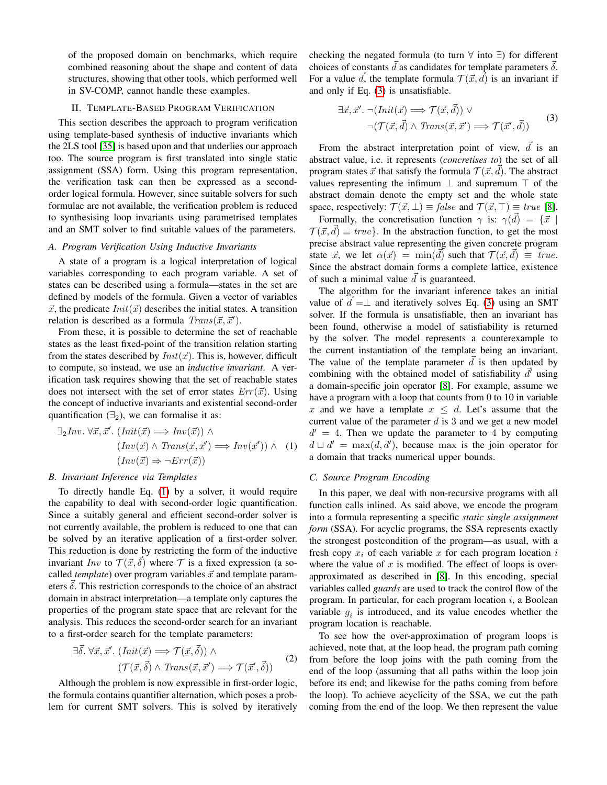of the proposed domain on benchmarks, which require combined reasoning about the shape and content of data structures, showing that other tools, which performed well in SV-COMP, cannot handle these examples.

## II. TEMPLATE-BASED PROGRAM VERIFICATION

<span id="page-1-2"></span>This section describes the approach to program verification using template-based synthesis of inductive invariants which the 2LS tool [\[35\]](#page-8-1) is based upon and that underlies our approach too. The source program is first translated into single static assignment (SSA) form. Using this program representation, the verification task can then be expressed as a secondorder logical formula. However, since suitable solvers for such formulae are not available, the verification problem is reduced to synthesising loop invariants using parametrised templates and an SMT solver to find suitable values of the parameters.

# *A. Program Verification Using Inductive Invariants*

A state of a program is a logical interpretation of logical variables corresponding to each program variable. A set of states can be described using a formula—states in the set are defined by models of the formula. Given a vector of variables  $\vec{x}$ , the predicate  $Init(\vec{x})$  describes the initial states. A transition relation is described as a formula  $Trans(\vec{x}, \vec{x}')$ .

From these, it is possible to determine the set of reachable states as the least fixed-point of the transition relation starting from the states described by  $Init(\vec{x})$ . This is, however, difficult to compute, so instead, we use an *inductive invariant*. A verification task requires showing that the set of reachable states does not intersect with the set of error states  $Err(\vec{x})$ . Using the concept of inductive invariants and existential second-order quantification  $(\exists_2)$ , we can formalise it as:

<span id="page-1-0"></span>
$$
\exists_2 \text{Inv. } \forall \vec{x}, \vec{x}'. \text{ } (\text{Init}(\vec{x}) \implies \text{Inv}(\vec{x})) \land (\text{Inv}(\vec{x}) \land \text{Trans}(\vec{x}, \vec{x}') \implies \text{Inv}(\vec{x}')) \land (\text{Inv}(\vec{x}) \implies \text{Err}(\vec{x})) \land (\text{Inv}(\vec{x})) \implies \text{Inv}(\vec{x}')
$$

# *B. Invariant Inference via Templates*

To directly handle Eq. [\(1\)](#page-1-0) by a solver, it would require the capability to deal with second-order logic quantification. Since a suitably general and efficient second-order solver is not currently available, the problem is reduced to one that can be solved by an iterative application of a first-order solver. This reduction is done by restricting the form of the inductive invariant Inv to  $\mathcal{T}(\vec{x}, \delta)$  where T is a fixed expression (a socalled *template*) over program variables  $\vec{x}$  and template parameters  $\delta$ . This restriction corresponds to the choice of an abstract domain in abstract interpretation—a template only captures the properties of the program state space that are relevant for the analysis. This reduces the second-order search for an invariant to a first-order search for the template parameters:

$$
\exists \vec{\delta}. \,\forall \vec{x}, \vec{x}'. \ (Init(\vec{x}) \Longrightarrow \mathcal{T}(\vec{x}, \vec{\delta})) \land (\mathcal{T}(\vec{x}, \vec{\delta}) \land Trans(\vec{x}, \vec{x}') \Longrightarrow \mathcal{T}(\vec{x}', \vec{\delta}))
$$
 (2)

Although the problem is now expressible in first-order logic, the formula contains quantifier alternation, which poses a problem for current SMT solvers. This is solved by iteratively checking the negated formula (to turn ∀ into ∃) for different choices of constants  $\overline{d}$  as candidates for template parameters  $\overline{\delta}$ . For a value  $\vec{d}$ , the template formula  $\mathcal{T} (\vec{x}, \vec{d})$  is an invariant if and only if Eq. [\(3\)](#page-1-1) is unsatisfiable.

<span id="page-1-1"></span>
$$
\exists \vec{x}, \vec{x}' \cdot \neg (Init(\vec{x}) \Longrightarrow \mathcal{T}(\vec{x}, \vec{d})) \vee \neg (\mathcal{T}(\vec{x}, \vec{d}) \land Trans(\vec{x}, \vec{x}') \Longrightarrow \mathcal{T}(\vec{x}', \vec{d}))
$$
\n(3)

From the abstract interpretation point of view,  $\overrightarrow{d}$  is an abstract value, i.e. it represents (*concretises to*) the set of all program states  $\vec{x}$  that satisfy the formula  $\mathcal{T}(\vec{x}, d)$ . The abstract values representing the infimum  $\perp$  and supremum  $\top$  of the abstract domain denote the empty set and the whole state space, respectively:  $\mathcal{T}(\vec{x}, \perp) \equiv \text{false}$  and  $\mathcal{T}(\vec{x}, \perp) \equiv \text{true}$  [\[8\]](#page-8-2).

Formally, the concretisation function  $\gamma$  is:  $\gamma(\vec{d}) = {\vec{x}}$  $\mathcal{T}(\vec{x}, \vec{d}) \equiv true$ . In the abstraction function, to get the most precise abstract value representing the given concrete program state  $\vec{x}$ , we let  $\alpha(\vec{x}) = \min(\vec{d})$  such that  $\mathcal{T}(\vec{x}, \vec{d}) \equiv true$ . Since the abstract domain forms a complete lattice, existence of such a minimal value  $\overrightarrow{d}$  is guaranteed.

The algorithm for the invariant inference takes an initial value of  $d = \perp$  and iteratively solves Eq. [\(3\)](#page-1-1) using an SMT solver. If the formula is unsatisfiable, then an invariant has been found, otherwise a model of satisfiability is returned by the solver. The model represents a counterexample to the current instantiation of the template being an invariant. The value of the template parameter  $\vec{d}$  is then updated by combining with the obtained model of satisfiability  $\overrightarrow{d}$  using a domain-specific join operator [\[8\]](#page-8-2). For example, assume we have a program with a loop that counts from 0 to 10 in variable x and we have a template  $x \leq d$ . Let's assume that the current value of the parameter  $d$  is 3 and we get a new model  $d' = 4$ . Then we update the parameter to 4 by computing  $d \sqcup d' = \max(d, d')$ , because max is the join operator for a domain that tracks numerical upper bounds.

## <span id="page-1-3"></span>*C. Source Program Encoding*

In this paper, we deal with non-recursive programs with all function calls inlined. As said above, we encode the program into a formula representing a specific *static single assignment form* (SSA). For acyclic programs, the SSA represents exactly the strongest postcondition of the program—as usual, with a fresh copy  $x_i$  of each variable x for each program location i where the value of  $x$  is modified. The effect of loops is overapproximated as described in [\[8\]](#page-8-2). In this encoding, special variables called *guards* are used to track the control flow of the program. In particular, for each program location  $i$ , a Boolean variable  $g_i$  is introduced, and its value encodes whether the program location is reachable.

To see how the over-approximation of program loops is achieved, note that, at the loop head, the program path coming from before the loop joins with the path coming from the end of the loop (assuming that all paths within the loop join before its end; and likewise for the paths coming from before the loop). To achieve acyclicity of the SSA, we cut the path coming from the end of the loop. We then represent the value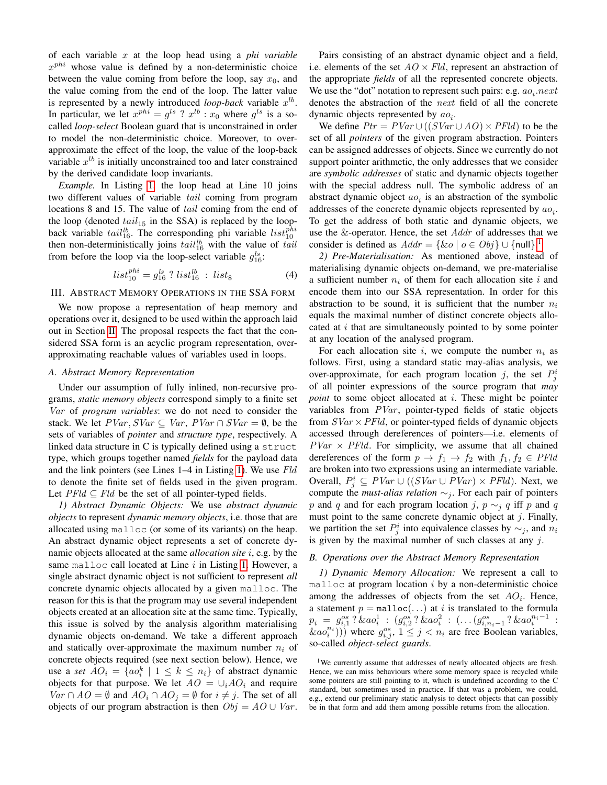of each variable x at the loop head using a *phi variable*  $x^{phi}$  whose value is defined by a non-deterministic choice between the value coming from before the loop, say  $x_0$ , and the value coming from the end of the loop. The latter value is represented by a newly introduced *loop-back* variable  $x^{lb}$ . In particular, we let  $x^{phi} = g^{ls}$  ?  $x^{lb}$  :  $x_0$  where  $g^{ls}$  is a socalled *loop-select* Boolean guard that is unconstrained in order to model the non-deterministic choice. Moreover, to overapproximate the effect of the loop, the value of the loop-back variable  $x^{lb}$  is initially unconstrained too and later constrained by the derived candidate loop invariants.

*Example.* In Listing [1,](#page-0-0) the loop head at Line 10 joins two different values of variable tail coming from program locations 8 and 15. The value of *tail* coming from the end of the loop (denoted  $tail_{15}$  in the SSA) is replaced by the loopback variable  $tail_{16}^{lb}$ . The corresponding phi variable  $list_{10}^{phi}$ then non-deterministically joins  $tail_{16}^{lb}$  with the value of tail from before the loop via the loop-select variable  $g_{16}^{ls}$ :

$$
list_{10}^{phi} = g_{16}^{ls} ? list_{16}^{lb} : list_{8}
$$
 (4)

## <span id="page-2-0"></span>III. ABSTRACT MEMORY OPERATIONS IN THE SSA FORM

We now propose a representation of heap memory and operations over it, designed to be used within the approach laid out in Section [II.](#page-1-2) The proposal respects the fact that the considered SSA form is an acyclic program representation, overapproximating reachable values of variables used in loops.

## *A. Abstract Memory Representation*

Under our assumption of fully inlined, non-recursive programs, *static memory objects* correspond simply to a finite set Var of *program variables*: we do not need to consider the stack. We let  $PVar, SVar \subseteq Var, PVar \cap SVar = \emptyset$ , be the sets of variables of *pointer* and *structure type*, respectively. A linked data structure in C is typically defined using a struct type, which groups together named *fields* for the payload data and the link pointers (see Lines 1–4 in Listing [1\)](#page-0-0). We use Fld to denote the finite set of fields used in the given program. Let  $PFld \subseteq Fld$  be the set of all pointer-typed fields.

*1) Abstract Dynamic Objects:* We use *abstract dynamic objects* to represent *dynamic memory objects*, i.e. those that are allocated using malloc (or some of its variants) on the heap. An abstract dynamic object represents a set of concrete dynamic objects allocated at the same *allocation site* i, e.g. by the same malloc call located at Line  $i$  in Listing [1.](#page-0-0) However, a single abstract dynamic object is not sufficient to represent *all* concrete dynamic objects allocated by a given malloc. The reason for this is that the program may use several independent objects created at an allocation site at the same time. Typically, this issue is solved by the analysis algorithm materialising dynamic objects on-demand. We take a different approach and statically over-approximate the maximum number  $n_i$  of concrete objects required (see next section below). Hence, we use a *set*  $AO_i = \{ao_i^k \mid 1 \leq k \leq n_i\}$  of abstract dynamic objects for that purpose. We let  $AO = \bigcup_i AO_i$  and require  $Var \cap AO = \emptyset$  and  $AO_i \cap AO_j = \emptyset$  for  $i \neq j$ . The set of all objects of our program abstraction is then  $Obj = AO \cup Var$ .

Pairs consisting of an abstract dynamic object and a field, i.e. elements of the set  $AO \times Fld$ , represent an abstraction of the appropriate *fields* of all the represented concrete objects. We use the "dot" notation to represent such pairs: e.g.  $ao_i.next$ denotes the abstraction of the next field of all the concrete dynamic objects represented by  $ao_i$ .

We define  $Ptr = PVar \cup ((SVar \cup AO) \times PFld)$  to be the set of all *pointers* of the given program abstraction. Pointers can be assigned addresses of objects. Since we currently do not support pointer arithmetic, the only addresses that we consider are *symbolic addresses* of static and dynamic objects together with the special address null. The symbolic address of an abstract dynamic object  $ao_i$  is an abstraction of the symbolic addresses of the concrete dynamic objects represented by  $ao_i$ . To get the address of both static and dynamic objects, we use the  $&$ -operator. Hence, the set  $Addr$  of addresses that we consider is defined as  $Addr = \{ \& o \mid o \in Obj \} \cup \{ \text{null} \}.^1$  $Addr = \{ \& o \mid o \in Obj \} \cup \{ \text{null} \}.^1$ 

*2) Pre-Materialisation:* As mentioned above, instead of materialising dynamic objects on-demand, we pre-materialise a sufficient number  $n_i$  of them for each allocation site i and encode them into our SSA representation. In order for this abstraction to be sound, it is sufficient that the number  $n_i$ equals the maximal number of distinct concrete objects allocated at  $i$  that are simultaneously pointed to by some pointer at any location of the analysed program.

For each allocation site i, we compute the number  $n_i$  as follows. First, using a standard static may-alias analysis, we over-approximate, for each program location j, the set  $P_j^i$ of all pointer expressions of the source program that *may point* to some object allocated at *i*. These might be pointer variables from  $PVar$ , pointer-typed fields of static objects from  $SVar \times PFld$ , or pointer-typed fields of dynamic objects accessed through dereferences of pointers—i.e. elements of  $PVar \times PFld$ . For simplicity, we assume that all chained dereferences of the form  $p \to f_1 \to f_2$  with  $f_1, f_2 \in PFld$ are broken into two expressions using an intermediate variable. Overall,  $P_j^i \subseteq PVar \cup ((SVar \cup PVar) \times PFld)$ . Next, we compute the *must-alias relation* ∼<sub>j</sub>. For each pair of pointers p and q and for each program location j,  $p \sim_i q$  iff p and q must point to the same concrete dynamic object at  $j$ . Finally, we partition the set  $P_j^i$  into equivalence classes by  $\sim_j$ , and  $n_i$ is given by the maximal number of such classes at any  $j$ .

#### *B. Operations over the Abstract Memory Representation*

*1) Dynamic Memory Allocation:* We represent a call to malloc at program location  $i$  by a non-deterministic choice among the addresses of objects from the set  $AO_i$ . Hence, a statement  $p = \text{malloc}(\ldots)$  at i is translated to the formula  $p_i = g_{i,1}^{os}$ ?  $\&ao_i^1$  :  $(g_{i,2}^{os}$ ?  $\&ao_i^2$  :  $(\ldots (g_{i,n_i-1}^{os}$ ?  $\&ao_i^{n_i-1}$  :  $\langle \mathcal{K} a o_i^{n_i})$ )) where  $g_{i,j}^{os}$ ,  $1 \leq j < n_i$  are free Boolean variables, so-called *object-select guards*.

<span id="page-2-1"></span><sup>1</sup>We currently assume that addresses of newly allocated objects are fresh. Hence, we can miss behaviours where some memory space is recycled while some pointers are still pointing to it, which is undefined according to the C standard, but sometimes used in practice. If that was a problem, we could, e.g., extend our preliminary static analysis to detect objects that can possibly be in that form and add them among possible returns from the allocation.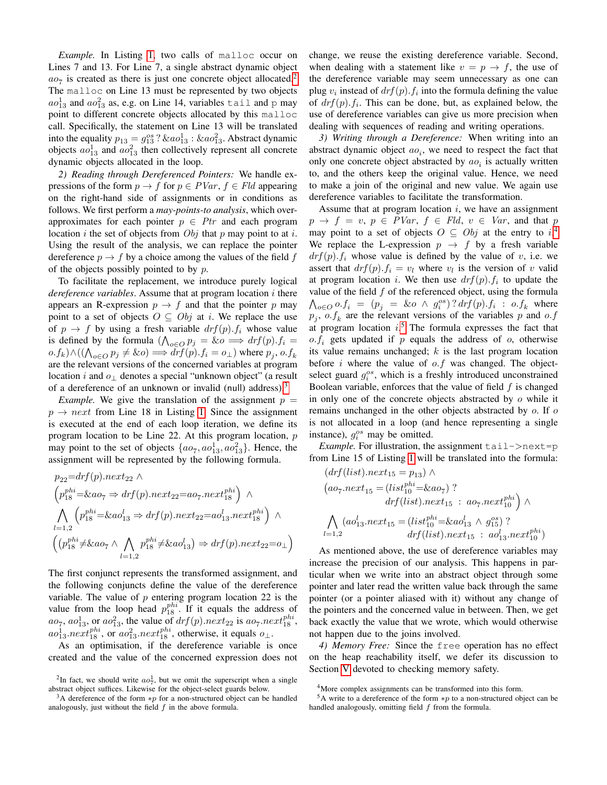*Example.* In Listing [1,](#page-0-0) two calls of malloc occur on Lines 7 and 13. For Line 7, a single abstract dynamic object  $ao_7$  is created as there is just one concrete object allocated.<sup>[2](#page-3-0)</sup> The malloc on Line 13 must be represented by two objects  $ao_{13}^1$  and  $ao_{13}^2$  as, e.g. on Line 14, variables tail and p may point to different concrete objects allocated by this malloc call. Specifically, the statement on Line 13 will be translated into the equality  $p_{13} = g_{13}^{os}$ ?  $\&ao_{13}^1 : \& ao_{13}^2$ . Abstract dynamic objects  $ao_{13}^1$  and  $ao_{13}^2$  then collectively represent all concrete dynamic objects allocated in the loop.

*2) Reading through Dereferenced Pointers:* We handle expressions of the form  $p \to f$  for  $p \in PVar$ ,  $f \in Fld$  appearing on the right-hand side of assignments or in conditions as follows. We first perform a *may-points-to analysis*, which overapproximates for each pointer  $p \in Pr$  and each program location i the set of objects from  $Obj$  that p may point to at i. Using the result of the analysis, we can replace the pointer dereference  $p \rightarrow f$  by a choice among the values of the field f of the objects possibly pointed to by  $p$ .

To facilitate the replacement, we introduce purely logical *dereference variables*. Assume that at program location i there appears an R-expression  $p \to f$  and that the pointer p may point to a set of objects  $O \subseteq Obj$  at i. We replace the use of  $p \rightarrow f$  by using a fresh variable  $drf(p) \cdot f_i$  whose value is defined by the formula  $(\bigwedge_{o \in O} p_j = \& o \Longrightarrow dr f(p) \cdot f_i =$  $o.f_k$ )  $\wedge ((\bigwedge_{o\in O}p_j\neq \& o) \Longrightarrow drf(p).f_i=o_{\perp})$  where  $p_j, o.f_k$ are the relevant versions of the concerned variables at program location i and  $o_{\perp}$  denotes a special "unknown object" (a result of a dereference of an unknown or invalid (null) address).<sup>[3](#page-3-1)</sup>

*Example.* We give the translation of the assignment  $p =$  $p \rightarrow next$  from Line 18 in Listing [1.](#page-0-0) Since the assignment is executed at the end of each loop iteration, we define its program location to be Line 22. At this program location,  $p$ may point to the set of objects  $\{ao_7, ao_{13}^1, ao_{13}^2\}$ . Hence, the assignment will be represented by the following formula.

$$
p_{22} = drf(p).next_{22} \wedge
$$
  
\n
$$
\left(p_{18}^{phi} = \& a o_7 \Rightarrow drf(p).next_{22} = a o_7.next_{18}^{phi}\right) \wedge
$$
  
\n
$$
\bigwedge_{l=1,2} \left(p_{18}^{phi} = \& a o_{13}^{l} \Rightarrow drf(p).next_{22} = a o_{13}^{l}.next_{18}^{phi}\right) \wedge
$$
  
\n
$$
\left((p_{18}^{phi} \neq \& a o_7 \wedge \bigwedge_{l=1,2} p_{18}^{phi} \neq \& a o_{13}^{l}\right) \Rightarrow drf(p).next_{22} = o_\perp)
$$

The first conjunct represents the transformed assignment, and the following conjuncts define the value of the dereference variable. The value of  $p$  entering program location 22 is the value from the loop head  $p_{18}^{phi}$ . If it equals the address of  $ao_7$ ,  $ao_{13}^1$ , or  $ao_{13}^2$ , the value of  $drf(p)$ .  $next_{22}$  is  $ao_7.next_{18}^{phi}$ ,  $ao_{13}^1.next_{18}^{phi}$ , or  $ao_{13}^2.next_{18}^{phi}$ , otherwise, it equals  $o_{\perp}$ .

As an optimisation, if the dereference variable is once created and the value of the concerned expression does not change, we reuse the existing dereference variable. Second, when dealing with a statement like  $v = p \rightarrow f$ , the use of the dereference variable may seem unnecessary as one can plug  $v_i$  instead of  $drf(p)$ .  $f_i$  into the formula defining the value of  $drf(p) \cdot f_i$ . This can be done, but, as explained below, the use of dereference variables can give us more precision when dealing with sequences of reading and writing operations.

*3) Writing through a Dereference:* When writing into an abstract dynamic object  $ao_i$ , we need to respect the fact that only one concrete object abstracted by  $ao<sub>i</sub>$  is actually written to, and the others keep the original value. Hence, we need to make a join of the original and new value. We again use dereference variables to facilitate the transformation.

Assume that at program location  $i$ , we have an assignment  $p \rightarrow f = v, p \in PVar, f \in Fld, v \in Var$ , and that p may point to a set of objects  $O \subseteq Obj$  at the entry to  $i^4$  $i^4$ We replace the L-expression  $p \rightarrow f$  by a fresh variable  $drf(p)$ .  $f_i$  whose value is defined by the value of v, i.e. we assert that  $drf(p) \cdot f_i = v_i$  where  $v_i$  is the version of v valid at program location *i*. We then use  $drf(p) \cdot f_i$  to update the value of the field  $f$  of the referenced object, using the formula  $\bigwedge_{o\in O} o.f_i = (p_j = \& o \land g_i^{os})$ ?  $drf(p).f_i : o.f_k$  where  $p_j$ ,  $o.f_k$  are the relevant versions of the variables p and o.f at program location  $i$ .<sup>[5](#page-3-3)</sup> The formula expresses the fact that  $o.f_i$  gets updated if p equals the address of  $o$ , otherwise its value remains unchanged;  $k$  is the last program location before i where the value of  $o.f$  was changed. The objectselect guard  $g_i^{os}$ , which is a freshly introduced unconstrained Boolean variable, enforces that the value of field  $f$  is changed in only one of the concrete objects abstracted by o while it remains unchanged in the other objects abstracted by o. If o is not allocated in a loop (and hence representing a single instance),  $g_i^{os}$  may be omitted.

*Example*. For illustration, the assignment  $tail->next=p$ from Line 15 of Listing [1](#page-0-0) will be translated into the formula:  $(dref(i<sub>et</sub>), p_{out} = n)$ 

$$
(arj (list).next_{15} = p_{13}) \land (ao_7.next_{15} = (list_{10}^{phi} = & ao_7) ? drf (list).next_{15} : ao_7.next_{10}^{phi} ) \land \n\bigwedge_{l=1,2} (ao_{13}^l.next_{15} = (list_{10}^{phi} = & ao_{13}^l \land g_{15}^{os}) ? drf (list).next_{15} : ao_{13}^l.next_{10}^{phi})
$$

As mentioned above, the use of dereference variables may increase the precision of our analysis. This happens in particular when we write into an abstract object through some pointer and later read the written value back through the same pointer (or a pointer aliased with it) without any change of the pointers and the concerned value in between. Then, we get back exactly the value that we wrote, which would otherwise not happen due to the joins involved.

*4) Memory Free:* Since the free operation has no effect on the heap reachability itself, we defer its discussion to Section [V](#page-5-0) devoted to checking memory safety.

<span id="page-3-0"></span><sup>&</sup>lt;sup>2</sup>In fact, we should write  $ao^1$ , but we omit the superscript when a single abstract object suffices. Likewise for the object-select guards below.

<span id="page-3-1"></span><sup>&</sup>lt;sup>3</sup>A dereference of the form  $*p$  for a non-structured object can be handled analogously, just without the field  $f$  in the above formula.

<span id="page-3-3"></span><span id="page-3-2"></span><sup>4</sup>More complex assignments can be transformed into this form.

<sup>&</sup>lt;sup>5</sup>A write to a dereference of the form  $*p$  to a non-structured object can be handled analogously, omitting field  $f$  from the formula.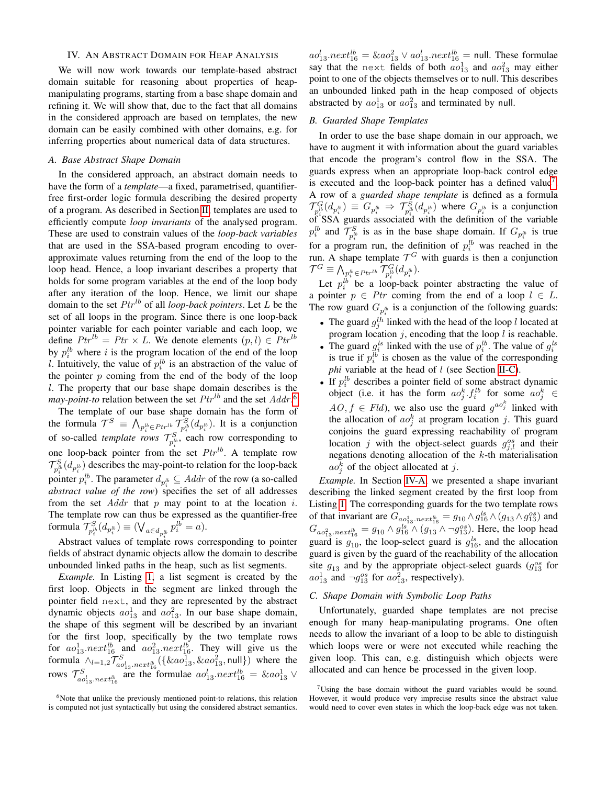## IV. AN ABSTRACT DOMAIN FOR HEAP ANALYSIS

We will now work towards our template-based abstract domain suitable for reasoning about properties of heapmanipulating programs, starting from a base shape domain and refining it. We will show that, due to the fact that all domains in the considered approach are based on templates, the new domain can be easily combined with other domains, e.g. for inferring properties about numerical data of data structures.

# <span id="page-4-2"></span>*A. Base Abstract Shape Domain*

In the considered approach, an abstract domain needs to have the form of a *template*—a fixed, parametrised, quantifierfree first-order logic formula describing the desired property of a program. As described in Section [II,](#page-1-2) templates are used to efficiently compute *loop invariants* of the analysed program. These are used to constrain values of the *loop-back variables* that are used in the SSA-based program encoding to overapproximate values returning from the end of the loop to the loop head. Hence, a loop invariant describes a property that holds for some program variables at the end of the loop body after any iteration of the loop. Hence, we limit our shape domain to the set  $Ptr^{lb}$  of all *loop-back pointers*. Let L be the set of all loops in the program. Since there is one loop-back pointer variable for each pointer variable and each loop, we define  $Ptr^{lb} = Ptr \times L$ . We denote elements  $(p, l) \in Ptr^{lb}$ by  $p_i^{lb}$  where i is the program location of the end of the loop l. Intuitively, the value of  $p_i^{lb}$  is an abstraction of the value of the pointer  $p$  coming from the end of the body of the loop l. The property that our base shape domain describes is the *may-point-to* relation between the set  $Ptr^{lb}$  and the set  $Addr$ .<sup>[6](#page-4-0)</sup>

The template of our base shape domain has the form of the formula  $\mathcal{T}^S \equiv \bigwedge_{p_i^{lb} \in Ptr^{lb}} \mathcal{T}_{p_i^{lb}}^S(d_{p_i^{lb}})$ . It is a conjunction of so-called *template rows*  $\mathcal{T}_{p_i^{lb}}^S$ , each row corresponding to one loop-back pointer from the set  $Ptr^{lb}$ . A template row  $\mathcal{T}_{p_i^{lb}}^S(d_{p_i^{lb}})$  describes the may-point-to relation for the loop-back pointer  $p_i^{lb}$ . The parameter  $d_{p_i^{lb}} \subseteq Addr$  of the row (a so-called *abstract value of the row*) specifies the set of all addresses from the set  $Addr$  that p may point to at the location i. The template row can thus be expressed as the quantifier-free formula  $\mathcal{T}_{p_i^{\scriptscriptstyle B}}^{{\scriptscriptstyle S}}(d_{p_i^{\scriptscriptstyle B}})\equiv(\bigvee_{a\in d_{p_i^{\scriptscriptstyle B}}}\def\bfR{{\scriptscriptstyle B}} p_i^{\scriptscriptstyle B}=\def\bfR{{\scriptscriptstyle B}})\in 0$ 

Abstract values of template rows corresponding to pointer fields of abstract dynamic objects allow the domain to describe unbounded linked paths in the heap, such as list segments.

*Example.* In Listing [1,](#page-0-0) a list segment is created by the first loop. Objects in the segment are linked through the pointer field next, and they are represented by the abstract dynamic objects  $ao_{13}^1$  and  $ao_{13}^2$ . In our base shape domain, the shape of this segment will be described by an invariant for the first loop, specifically by the two template rows for  $ao_{13}^1.next_{16}^{lb}$  and  $ao_{13}^2.next_{16}^{lb}$ . They will give us the formula  $\bigwedge_{l=1,2} \mathcal{T}_{a o_{13}^S. next_{16}^{lb}}^S(\{\&ao_{13}^1, \&ao_{13}^2, null\})$  where the rows  $\mathcal{T}_{a o_{13}^1, next_{16}^{lb}}^{S}$  are the formulae  $a o_{13}^l.next_{16}^{lb} = \& a o_{13}^1 \vee$ 

 $ao_{13}^l.next_{16}^{lb} = \& ao_{13}^2 \vee ao_{13}^l.next_{16}^{lb} = \text{null}$ . These formulae say that the next fields of both  $ao_{13}^1$  and  $ao_{13}^2$  may either point to one of the objects themselves or to null. This describes an unbounded linked path in the heap composed of objects abstracted by  $ao_{13}^1$  or  $ao_{13}^2$  and terminated by null.

# <span id="page-4-3"></span>*B. Guarded Shape Templates*

In order to use the base shape domain in our approach, we have to augment it with information about the guard variables that encode the program's control flow in the SSA. The guards express when an appropriate loop-back control edge is executed and the loop-back pointer has a defined value<sup>[7](#page-4-1)</sup>. A row of a *guarded shape template* is defined as a formula  $\mathcal{T}_{p_i^{lb}}^G(d_{p_i^{lb}}) \equiv G_{p_i^{lb}} \Rightarrow \mathcal{T}_{p_i^{lb}}^S(d_{p_i^{lb}})$  where  $G_{p_i^{lb}}$  is a conjunction  $\int_{p_i}^{p_i} \sum_{i=1}^{p_i} p_i \left( \frac{p_i}{p_i} \right)$  of SSA guards associated with the definition of the variable  $p_i^{lb}$  and  $\mathcal{T}_{p_i^{lb}}^S$  is as in the base shape domain. If  $G_{p_i^{lb}}$  is true for a program run, the definition of  $p_i^{lb}$  was reached in the run. A shape template  $\mathcal{T}^G$  with guards is then a conjunction  $\mathcal{T}^G \equiv \bigwedge_{\substack{p^{lb}_i \in Ptr^{lb}}} \mathcal{T}^G_{p^{lb}_i}(d_{p^{lb}_i}).$ 

Let  $p_i^{lb}$  be a loop-back pointer abstracting the value of a pointer  $p \in Pr$  coming from the end of a loop  $l \in L$ . The row guard  $G_{p_i^{lb}}$  is a conjunction of the following guards:

- The guard  $g_j^{lh}$  linked with the head of the loop l located at program location  $j$ , encoding that the loop  $l$  is reachable.
- The guard  $g_i^{ls}$  linked with the use of  $p_i^{lb}$ . The value of  $g_i^{ls}$ is true if  $p_i^{lb}$  is chosen as the value of the corresponding *phi* variable at the head of *l* (see Section [II-C\)](#page-1-3).
- If  $p_i^{lb}$  describes a pointer field of some abstract dynamic object (i.e. it has the form  $ao_j^k$ ,  $f_i^{lb}$  for some  $ao_j^k \in$  $AO, f \in \text{Fld}$ , we also use the guard  $g^{ao_j^k}$  linked with the allocation of  $ao_j^k$  at program location j. This guard conjoins the guard expressing reachability of program location j with the object-select guards  $g_{j,l}^{os}$  and their negations denoting allocation of the k-th materialisation  $ao_j^k$  of the object allocated at j.

*Example.* In Section [IV-A,](#page-4-2) we presented a shape invariant describing the linked segment created by the first loop from Listing [1.](#page-0-0) The corresponding guards for the two template rows of that invariant are  $G_{a_0a_1a_3}$  *next*<sup>th</sup><sub>16</sub> =  $g_{10} \wedge g_{16}^{ls} \wedge (g_{13} \wedge g_{13}^{os})$  and  $G_{ao_{13}^2, next_{16}^b} = g_{10} \wedge g_{16}^{ls} \wedge (g_{13} \wedge \neg g_{13}^{os})$ . Here, the loop head guard is  $g_{10}$ , the loop-select guard is  $g_{16}^{ls}$ , and the allocation guard is given by the guard of the reachability of the allocation site  $g_{13}$  and by the appropriate object-select guards  $(g_{13}^{os}$  for  $ao_{13}^1$  and  $\neg g_{13}^{os}$  for  $ao_{13}^2$ , respectively).

# <span id="page-4-4"></span>*C. Shape Domain with Symbolic Loop Paths*

Unfortunately, guarded shape templates are not precise enough for many heap-manipulating programs. One often needs to allow the invariant of a loop to be able to distinguish which loops were or were not executed while reaching the given loop. This can, e.g. distinguish which objects were allocated and can hence be processed in the given loop.

<span id="page-4-0"></span> $6$ Note that unlike the previously mentioned point-to relations, this relation is computed not just syntactically but using the considered abstract semantics.

<span id="page-4-1"></span> $7$ Using the base domain without the guard variables would be sound. However, it would produce very imprecise results since the abstract value would need to cover even states in which the loop-back edge was not taken.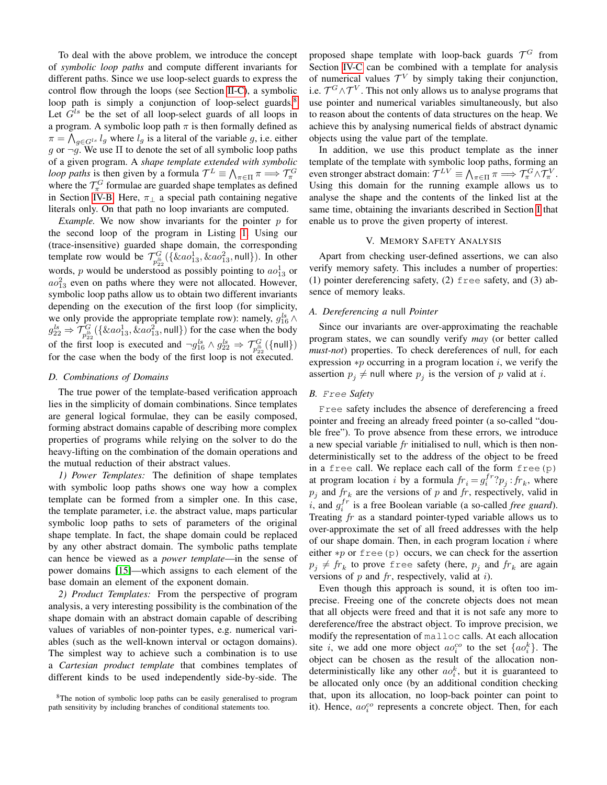To deal with the above problem, we introduce the concept of *symbolic loop paths* and compute different invariants for different paths. Since we use loop-select guards to express the control flow through the loops (see Section [II-C\)](#page-1-3), a symbolic loop path is simply a conjunction of loop-select guards.<sup>[8](#page-5-1)</sup> Let  $G^{ls}$  be the set of all loop-select guards of all loops in a program. A symbolic loop path  $\pi$  is then formally defined as  $\pi = \bigwedge_{g \in G^{l_s}} l_g$  where  $l_g$  is a literal of the variable g, i.e. either g or  $\neg g$ . We use  $\Pi$  to denote the set of all symbolic loop paths of a given program. A *shape template extended with symbolic loop paths* is then given by a formula  $\mathcal{T}^L \equiv \bigwedge_{\pi \in \Pi} \pi \Longrightarrow \mathcal{T}^G_{\pi}$ where the  $\mathcal{T}_{\pi}^G$  formulae are guarded shape templates as defined in Section [IV-B.](#page-4-3) Here,  $\pi_{\perp}$  a special path containing negative literals only. On that path no loop invariants are computed.

*Example.* We now show invariants for the pointer  $p$  for the second loop of the program in Listing [1.](#page-0-0) Using our (trace-insensitive) guarded shape domain, the corresponding template row would be  $\mathcal{T}_{p_{22}^b}^G({\{\&a_0\}}_1^1,{\&a_0}\_1^2,{\text{null}}).$  In other words, p would be understood as possibly pointing to  $ao_{13}^1$  or  $a\omega_{13}^2$  even on paths where they were not allocated. However, symbolic loop paths allow us to obtain two different invariants depending on the execution of the first loop (for simplicity, we only provide the appropriate template row): namely,  $g_{16}^{ls} \wedge$  $g_{22}^{ls} \Rightarrow \mathcal{T}_{p_{22}^{lb}}^G(\{\&ao_{13}^1, \&ao_{13}^2, \text{null}\})$  for the case when the body of the first loop is executed and  $\neg g_{16}^{ls} \wedge g_{22}^{ls} \Rightarrow \mathcal{T}_{p_{22}^{lb}}^G(\{\text{null}\})$ for the case when the body of the first loop is not executed.

# <span id="page-5-2"></span>*D. Combinations of Domains*

The true power of the template-based verification approach lies in the simplicity of domain combinations. Since templates are general logical formulae, they can be easily composed, forming abstract domains capable of describing more complex properties of programs while relying on the solver to do the heavy-lifting on the combination of the domain operations and the mutual reduction of their abstract values.

*1) Power Templates:* The definition of shape templates with symbolic loop paths shows one way how a complex template can be formed from a simpler one. In this case, the template parameter, i.e. the abstract value, maps particular symbolic loop paths to sets of parameters of the original shape template. In fact, the shape domain could be replaced by any other abstract domain. The symbolic paths template can hence be viewed as a *power template*—in the sense of power domains [\[15\]](#page-8-3)—which assigns to each element of the base domain an element of the exponent domain.

*2) Product Templates:* From the perspective of program analysis, a very interesting possibility is the combination of the shape domain with an abstract domain capable of describing values of variables of non-pointer types, e.g. numerical variables (such as the well-known interval or octagon domains). The simplest way to achieve such a combination is to use a *Cartesian product template* that combines templates of different kinds to be used independently side-by-side. The

proposed shape template with loop-back guards  $\mathcal{T}^G$  from Section [IV-C](#page-4-4) can be combined with a template for analysis of numerical values  $\mathcal{T}^V$  by simply taking their conjunction, i.e.  $\mathcal{T}^G\!\wedge\!\mathcal{T}^V.$  This not only allows us to analyse programs that use pointer and numerical variables simultaneously, but also to reason about the contents of data structures on the heap. We achieve this by analysing numerical fields of abstract dynamic objects using the value part of the template.

In addition, we use this product template as the inner template of the template with symbolic loop paths, forming an even stronger abstract domain:  $\mathcal{T}^{LV} \equiv \bigwedge_{\pi \in \Pi} \pi \Longrightarrow \mathcal{T}^G_{\pi} \wedge \mathcal{T}^V_{\pi}$ . Using this domain for the running example allows us to analyse the shape and the contents of the linked list at the same time, obtaining the invariants described in Section [I](#page-0-1) that enable us to prove the given property of interest.

# V. MEMORY SAFETY ANALYSIS

<span id="page-5-0"></span>Apart from checking user-defined assertions, we can also verify memory safety. This includes a number of properties: (1) pointer dereferencing safety, (2) free safety, and (3) absence of memory leaks.

# *A. Dereferencing a* null *Pointer*

Since our invariants are over-approximating the reachable program states, we can soundly verify *may* (or better called *must-not*) properties. To check dereferences of null, for each expression  $\ast p$  occurring in a program location *i*, we verify the assertion  $p_j \neq$  null where  $p_j$  is the version of p valid at i.

# *B.* Free *Safety*

Free safety includes the absence of dereferencing a freed pointer and freeing an already freed pointer (a so-called "double free"). To prove absence from these errors, we introduce a new special variable fr initialised to null, which is then nondeterministically set to the address of the object to be freed in a free call. We replace each call of the form  $free(p)$ at program location *i* by a formula  $fr_i = g_i^{fr}$ ? $p_j : fr_k$ , where  $p_j$  and  $fr_k$  are the versions of p and fr, respectively, valid in  $i$ , and  $g_i^{fr}$  is a free Boolean variable (a so-called *free guard*). Treating  $fr$  as a standard pointer-typed variable allows us to over-approximate the set of all freed addresses with the help of our shape domain. Then, in each program location  $i$  where either  $*p$  or free(p) occurs, we can check for the assertion  $p_j \neq fr_k$  to prove free safety (here,  $p_j$  and  $fr_k$  are again versions of  $p$  and  $fr$ , respectively, valid at  $i$ ).

Even though this approach is sound, it is often too imprecise. Freeing one of the concrete objects does not mean that all objects were freed and that it is not safe any more to dereference/free the abstract object. To improve precision, we modify the representation of malloc calls. At each allocation site i, we add one more object  $ao_i^{co}$  to the set  $\{ao_i^k\}$ . The object can be chosen as the result of the allocation nondeterministically like any other  $ao_i^k$ , but it is guaranteed to be allocated only once (by an additional condition checking that, upon its allocation, no loop-back pointer can point to it). Hence,  $ao_i^{co}$  represents a concrete object. Then, for each

<span id="page-5-1"></span><sup>&</sup>lt;sup>8</sup>The notion of symbolic loop paths can be easily generalised to program path sensitivity by including branches of conditional statements too.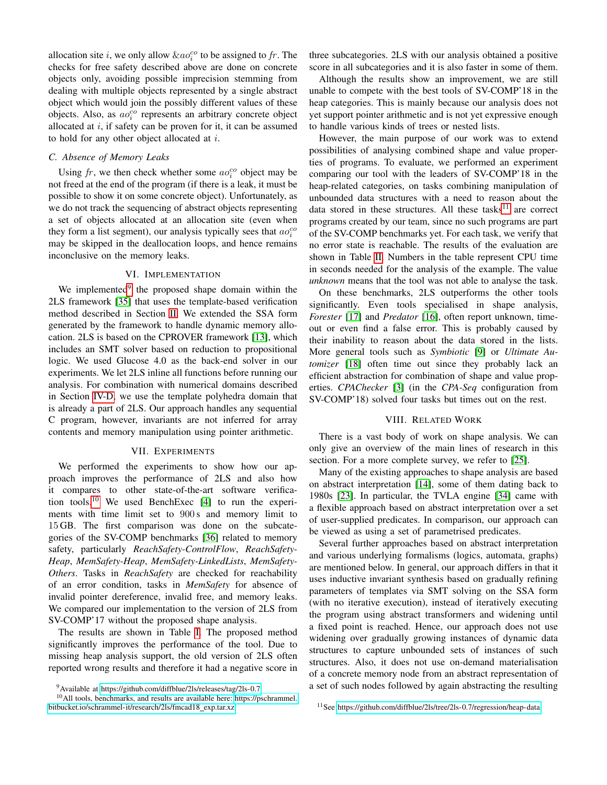allocation site *i*, we only allow  $\&ao_i^{co}$  to be assigned to fr. The checks for free safety described above are done on concrete objects only, avoiding possible imprecision stemming from dealing with multiple objects represented by a single abstract object which would join the possibly different values of these objects. Also, as  $ao_i^{co}$  represents an arbitrary concrete object allocated at  $i$ , if safety can be proven for it, it can be assumed to hold for any other object allocated at  $i$ .

# *C. Absence of Memory Leaks*

Using  $fr$ , we then check whether some  $ao_i^{co}$  object may be not freed at the end of the program (if there is a leak, it must be possible to show it on some concrete object). Unfortunately, as we do not track the sequencing of abstract objects representing a set of objects allocated at an allocation site (even when they form a list segment), our analysis typically sees that  $ao_i^{co}$ may be skipped in the deallocation loops, and hence remains inconclusive on the memory leaks.

# VI. IMPLEMENTATION

We implemented<sup>[9](#page-6-1)</sup> the proposed shape domain within the 2LS framework [\[35\]](#page-8-1) that uses the template-based verification method described in Section [II.](#page-1-2) We extended the SSA form generated by the framework to handle dynamic memory allocation. 2LS is based on the CPROVER framework [\[13\]](#page-8-4), which includes an SMT solver based on reduction to propositional logic. We used Glucose 4.0 as the back-end solver in our experiments. We let 2LS inline all functions before running our analysis. For combination with numerical domains described in Section [IV-D,](#page-5-2) we use the template polyhedra domain that is already a part of 2LS. Our approach handles any sequential C program, however, invariants are not inferred for array contents and memory manipulation using pointer arithmetic.

## VII. EXPERIMENTS

<span id="page-6-0"></span>We performed the experiments to show how our approach improves the performance of 2LS and also how it compares to other state-of-the-art software verification tools.[10](#page-6-2) We used BenchExec [\[4\]](#page-8-5) to run the experiments with time limit set to 900 s and memory limit to 15 GB. The first comparison was done on the subcategories of the SV-COMP benchmarks [\[36\]](#page-8-6) related to memory safety, particularly *ReachSafety-ControlFlow*, *ReachSafety-Heap*, *MemSafety-Heap*, *MemSafety-LinkedLists*, *MemSafety-Others*. Tasks in *ReachSafety* are checked for reachability of an error condition, tasks in *MemSafety* for absence of invalid pointer dereference, invalid free, and memory leaks. We compared our implementation to the version of 2LS from SV-COMP'17 without the proposed shape analysis.

The results are shown in Table [I.](#page-7-0) The proposed method significantly improves the performance of the tool. Due to missing heap analysis support, the old version of 2LS often reported wrong results and therefore it had a negative score in three subcategories. 2LS with our analysis obtained a positive score in all subcategories and it is also faster in some of them.

Although the results show an improvement, we are still unable to compete with the best tools of SV-COMP'18 in the heap categories. This is mainly because our analysis does not yet support pointer arithmetic and is not yet expressive enough to handle various kinds of trees or nested lists.

However, the main purpose of our work was to extend possibilities of analysing combined shape and value properties of programs. To evaluate, we performed an experiment comparing our tool with the leaders of SV-COMP'18 in the heap-related categories, on tasks combining manipulation of unbounded data structures with a need to reason about the data stored in these structures. All these tasks<sup>[11](#page-6-3)</sup> are correct programs created by our team, since no such programs are part of the SV-COMP benchmarks yet. For each task, we verify that no error state is reachable. The results of the evaluation are shown in Table [II.](#page-7-1) Numbers in the table represent CPU time in seconds needed for the analysis of the example. The value *unknown* means that the tool was not able to analyse the task.

On these benchmarks, 2LS outperforms the other tools significantly. Even tools specialised in shape analysis, *Forester* [\[17\]](#page-8-7) and *Predator* [\[16\]](#page-8-8), often report unknown, timeout or even find a false error. This is probably caused by their inability to reason about the data stored in the lists. More general tools such as *Symbiotic* [\[9\]](#page-8-9) or *Ultimate Automizer* [\[18\]](#page-8-10) often time out since they probably lack an efficient abstraction for combination of shape and value properties. *CPAChecker* [\[3\]](#page-8-11) (in the *CPA-Seq* configuration from SV-COMP'18) solved four tasks but times out on the rest.

## VIII. RELATED WORK

There is a vast body of work on shape analysis. We can only give an overview of the main lines of research in this section. For a more complete survey, we refer to [\[25\]](#page-8-12).

Many of the existing approaches to shape analysis are based on abstract interpretation [\[14\]](#page-8-0), some of them dating back to 1980s [\[23\]](#page-8-13). In particular, the TVLA engine [\[34\]](#page-8-14) came with a flexible approach based on abstract interpretation over a set of user-supplied predicates. In comparison, our approach can be viewed as using a set of parametrised predicates.

Several further approaches based on abstract interpretation and various underlying formalisms (logics, automata, graphs) are mentioned below. In general, our approach differs in that it uses inductive invariant synthesis based on gradually refining parameters of templates via SMT solving on the SSA form (with no iterative execution), instead of iteratively executing the program using abstract transformers and widening until a fixed point is reached. Hence, our approach does not use widening over gradually growing instances of dynamic data structures to capture unbounded sets of instances of such structures. Also, it does not use on-demand materialisation of a concrete memory node from an abstract representation of a set of such nodes followed by again abstracting the resulting

<span id="page-6-2"></span><span id="page-6-1"></span><sup>9</sup>Available at [https://github.com/diffblue/2ls/releases/tag/2ls-0.7.](https://github.com/diffblue/2ls/releases/tag/2ls-0.7)

<sup>10</sup>All tools, benchmarks, and results are available here: [https://pschrammel.](https://pschrammel.bitbucket.io/schrammel-it/research/2ls/fmcad18_exp.tar.xz) [bitbucket.io/schrammel-it/research/2ls/fmcad18](https://pschrammel.bitbucket.io/schrammel-it/research/2ls/fmcad18_exp.tar.xz)\_exp.tar.xz.

<span id="page-6-3"></span><sup>11</sup>See [https://github.com/diffblue/2ls/tree/2ls-0.7/regression/heap-data.](https://github.com/diffblue/2ls/tree/2ls-0.7/regression/heap-data)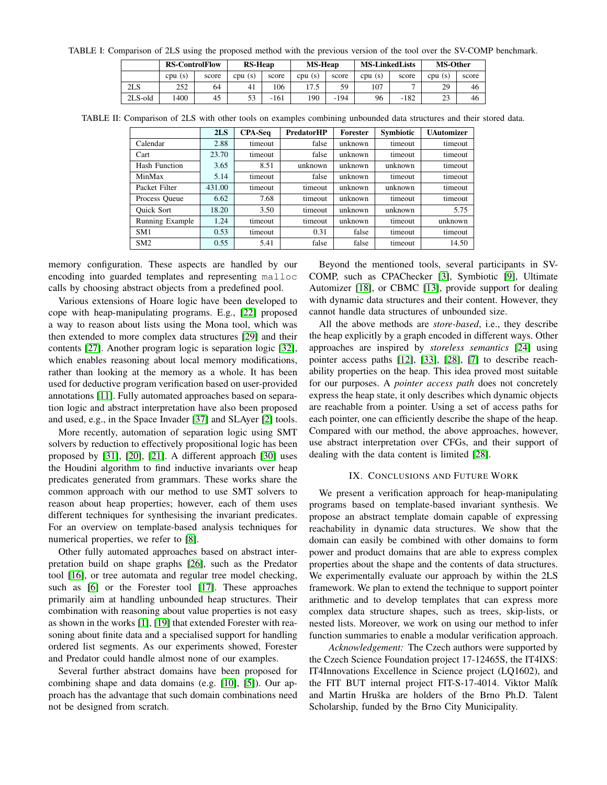<span id="page-7-0"></span>TABLE I: Comparison of 2LS using the proposed method with the previous version of the tool over the SV-COMP benchmark.

|                 | <b>RS-ControlFlow</b> |       | <b>RS-Heap</b> |        | <b>MS-Heap</b> |        | <b>MS-LinkedLists</b> |        | <b>MS-Other</b> |       |
|-----------------|-----------------------|-------|----------------|--------|----------------|--------|-----------------------|--------|-----------------|-------|
|                 | cpu(s)                | score | cpu(s)         | score  | cpu(s)         | score  | cpu(s)                | score  | cpu(s)          | score |
| 2 <sub>LS</sub> | 252                   | 64    | 41             | 106    | 17.5           | 59     | 107                   |        | 29              | 46    |
| $2LS$ -old      | 1400                  | 45    |                | $-161$ | 190            | $-194$ | 96                    | $-182$ |                 | 46    |

<span id="page-7-1"></span>TABLE II: Comparison of 2LS with other tools on examples combining unbounded data structures and their stored data.

|                      | 2LS    | <b>CPA-Seq</b> | <b>PredatorHP</b> | Forester | <b>Symbiotic</b> | <b>UAutomizer</b> |
|----------------------|--------|----------------|-------------------|----------|------------------|-------------------|
| Calendar             | 2.88   | timeout        | false             | unknown  | timeout          | timeout           |
| Cart                 | 23.70  | timeout        | false             | unknown  | timeout          | timeout           |
| <b>Hash Function</b> | 3.65   | 8.51           | unknown           | unknown  | unknown          | timeout           |
| MinMax               | 5.14   | timeout        | false             | unknown  | timeout          | timeout           |
| Packet Filter        | 431.00 | timeout        | timeout           | unknown  | unknown          | timeout           |
| Process Queue        | 6.62   | 7.68           | timeout           | unknown  | timeout          | timeout           |
| <b>Ouick Sort</b>    | 18.20  | 3.50           | timeout           | unknown  | unknown          | 5.75              |
| Running Example      | 1.24   | timeout        | timeout           | unknown  | timeout          | unknown           |
| SM <sub>1</sub>      | 0.53   | timeout        | 0.31              | false    | timeout          | timeout           |
| SM2                  | 0.55   | 5.41           | false             | false    | timeout          | 14.50             |

memory configuration. These aspects are handled by our encoding into guarded templates and representing malloc calls by choosing abstract objects from a predefined pool.

Various extensions of Hoare logic have been developed to cope with heap-manipulating programs. E.g., [\[22\]](#page-8-15) proposed a way to reason about lists using the Mona tool, which was then extended to more complex data structures [\[29\]](#page-8-16) and their contents [\[27\]](#page-8-17). Another program logic is separation logic [\[32\]](#page-8-18), which enables reasoning about local memory modifications, rather than looking at the memory as a whole. It has been used for deductive program verification based on user-provided annotations [\[11\]](#page-8-19). Fully automated approaches based on separation logic and abstract interpretation have also been proposed and used, e.g., in the Space Invader [\[37\]](#page-8-20) and SLAyer [\[2\]](#page-8-21) tools.

More recently, automation of separation logic using SMT solvers by reduction to effectively propositional logic has been proposed by [\[31\]](#page-8-22), [\[20\]](#page-8-23), [\[21\]](#page-8-24). A different approach [\[30\]](#page-8-25) uses the Houdini algorithm to find inductive invariants over heap predicates generated from grammars. These works share the common approach with our method to use SMT solvers to reason about heap properties; however, each of them uses different techniques for synthesising the invariant predicates. For an overview on template-based analysis techniques for numerical properties, we refer to [\[8\]](#page-8-2).

Other fully automated approaches based on abstract interpretation build on shape graphs [\[26\]](#page-8-26), such as the Predator tool [\[16\]](#page-8-8), or tree automata and regular tree model checking, such as [\[6\]](#page-8-27) or the Forester tool [\[17\]](#page-8-7). These approaches primarily aim at handling unbounded heap structures. Their combination with reasoning about value properties is not easy as shown in the works [\[1\]](#page-8-28), [\[19\]](#page-8-29) that extended Forester with reasoning about finite data and a specialised support for handling ordered list segments. As our experiments showed, Forester and Predator could handle almost none of our examples.

Several further abstract domains have been proposed for combining shape and data domains (e.g. [\[10\]](#page-8-30), [\[5\]](#page-8-31)). Our approach has the advantage that such domain combinations need not be designed from scratch.

Beyond the mentioned tools, several participants in SV-COMP, such as CPAChecker [\[3\]](#page-8-11), Symbiotic [\[9\]](#page-8-9), Ultimate Automizer [\[18\]](#page-8-10), or CBMC [\[13\]](#page-8-4), provide support for dealing with dynamic data structures and their content. However, they cannot handle data structures of unbounded size.

All the above methods are *store-based*, i.e., they describe the heap explicitly by a graph encoded in different ways. Other approaches are inspired by *storeless semantics* [\[24\]](#page-8-32) using pointer access paths [\[12\]](#page-8-33), [\[33\]](#page-8-34), [\[28\]](#page-8-35), [\[7\]](#page-8-36) to describe reachability properties on the heap. This idea proved most suitable for our purposes. A *pointer access path* does not concretely express the heap state, it only describes which dynamic objects are reachable from a pointer. Using a set of access paths for each pointer, one can efficiently describe the shape of the heap. Compared with our method, the above approaches, however, use abstract interpretation over CFGs, and their support of dealing with the data content is limited [\[28\]](#page-8-35).

## IX. CONCLUSIONS AND FUTURE WORK

We present a verification approach for heap-manipulating programs based on template-based invariant synthesis. We propose an abstract template domain capable of expressing reachability in dynamic data structures. We show that the domain can easily be combined with other domains to form power and product domains that are able to express complex properties about the shape and the contents of data structures. We experimentally evaluate our approach by within the 2LS framework. We plan to extend the technique to support pointer arithmetic and to develop templates that can express more complex data structure shapes, such as trees, skip-lists, or nested lists. Moreover, we work on using our method to infer function summaries to enable a modular verification approach.

*Acknowledgement:* The Czech authors were supported by the Czech Science Foundation project 17-12465S, the IT4IXS: IT4Innovations Excellence in Science project (LQ1602), and the FIT BUT internal project FIT-S-17-4014. Viktor Malík and Martin Hruška are holders of the Brno Ph.D. Talent Scholarship, funded by the Brno City Municipality.